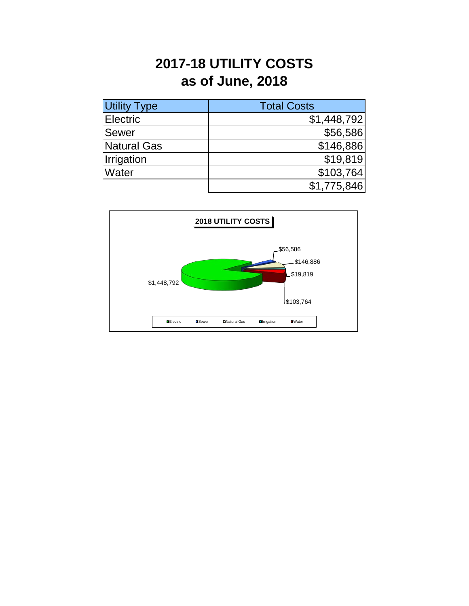## **2017-18 UTILITY COSTS as of June, 2018**

| <b>Utility Type</b> | <b>Total Costs</b> |  |  |  |  |
|---------------------|--------------------|--|--|--|--|
| <b>Electric</b>     | \$1,448,792        |  |  |  |  |
| Sewer               | \$56,586           |  |  |  |  |
| <b>Natural Gas</b>  | \$146,886          |  |  |  |  |
| <b>Irrigation</b>   | \$19,819           |  |  |  |  |
| <b>Water</b>        | \$103,764          |  |  |  |  |
|                     | \$1,775,846        |  |  |  |  |